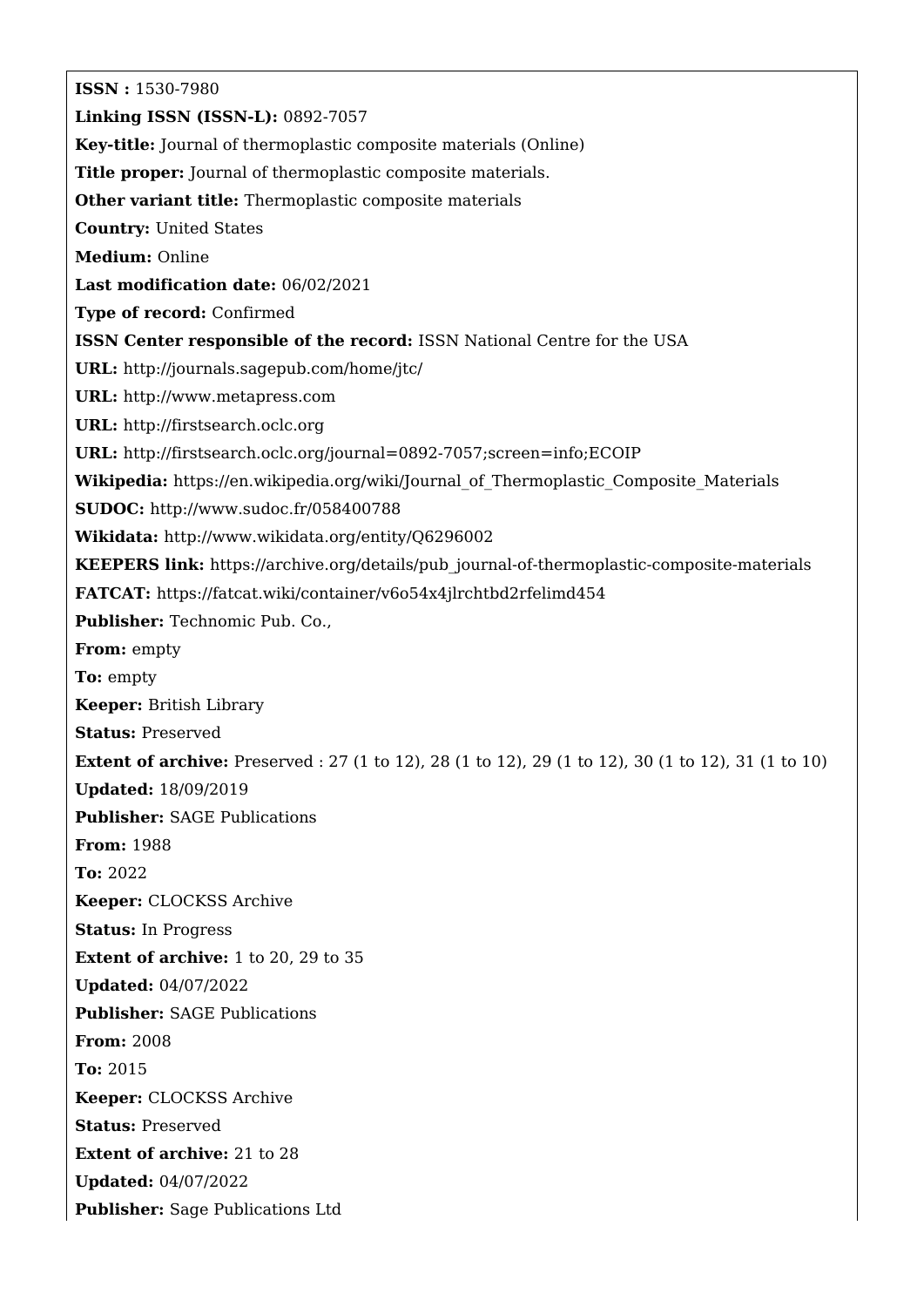**ISSN :** 1530-7980 **Linking ISSN (ISSN-L):** 0892-7057 **Key-title:** Journal of thermoplastic composite materials (Online) **Title proper:** Journal of thermoplastic composite materials. **Other variant title:** Thermoplastic composite materials **Country:** United States **Medium:** Online **Last modification date:** 06/02/2021 **Type of record:** Confirmed **ISSN Center responsible of the record:** ISSN National Centre for the USA **URL:** <http://journals.sagepub.com/home/jtc/> **URL:** <http://www.metapress.com> **URL:** <http://firstsearch.oclc.org> **URL:** <http://firstsearch.oclc.org/journal=0892-7057;screen=info;ECOIP> **Wikipedia:** [https://en.wikipedia.org/wiki/Journal\\_of\\_Thermoplastic\\_Composite\\_Materials](https://en.wikipedia.org/wiki/Journal_of_Thermoplastic_Composite_Materials) **SUDOC:** <http://www.sudoc.fr/058400788> **Wikidata:** <http://www.wikidata.org/entity/Q6296002> **KEEPERS link:** [https://archive.org/details/pub\\_journal-of-thermoplastic-composite-materials](https://archive.org/details/pub_journal-of-thermoplastic-composite-materials) **FATCAT:** <https://fatcat.wiki/container/v6o54x4jlrchtbd2rfelimd454> **Publisher:** Technomic Pub. Co., **From:** empty **To:** empty **Keeper:** British Library **Status:** Preserved **Extent of archive:** Preserved : 27 (1 to 12), 28 (1 to 12), 29 (1 to 12), 30 (1 to 12), 31 (1 to 10) **Updated:** 18/09/2019 **Publisher:** SAGE Publications **From:** 1988 **To:** 2022 **Keeper:** CLOCKSS Archive **Status:** In Progress **Extent of archive:** 1 to 20, 29 to 35 **Updated:** 04/07/2022 **Publisher:** SAGE Publications **From:** 2008 **To:** 2015 **Keeper:** CLOCKSS Archive **Status:** Preserved **Extent of archive:** 21 to 28 **Updated:** 04/07/2022 **Publisher:** Sage Publications Ltd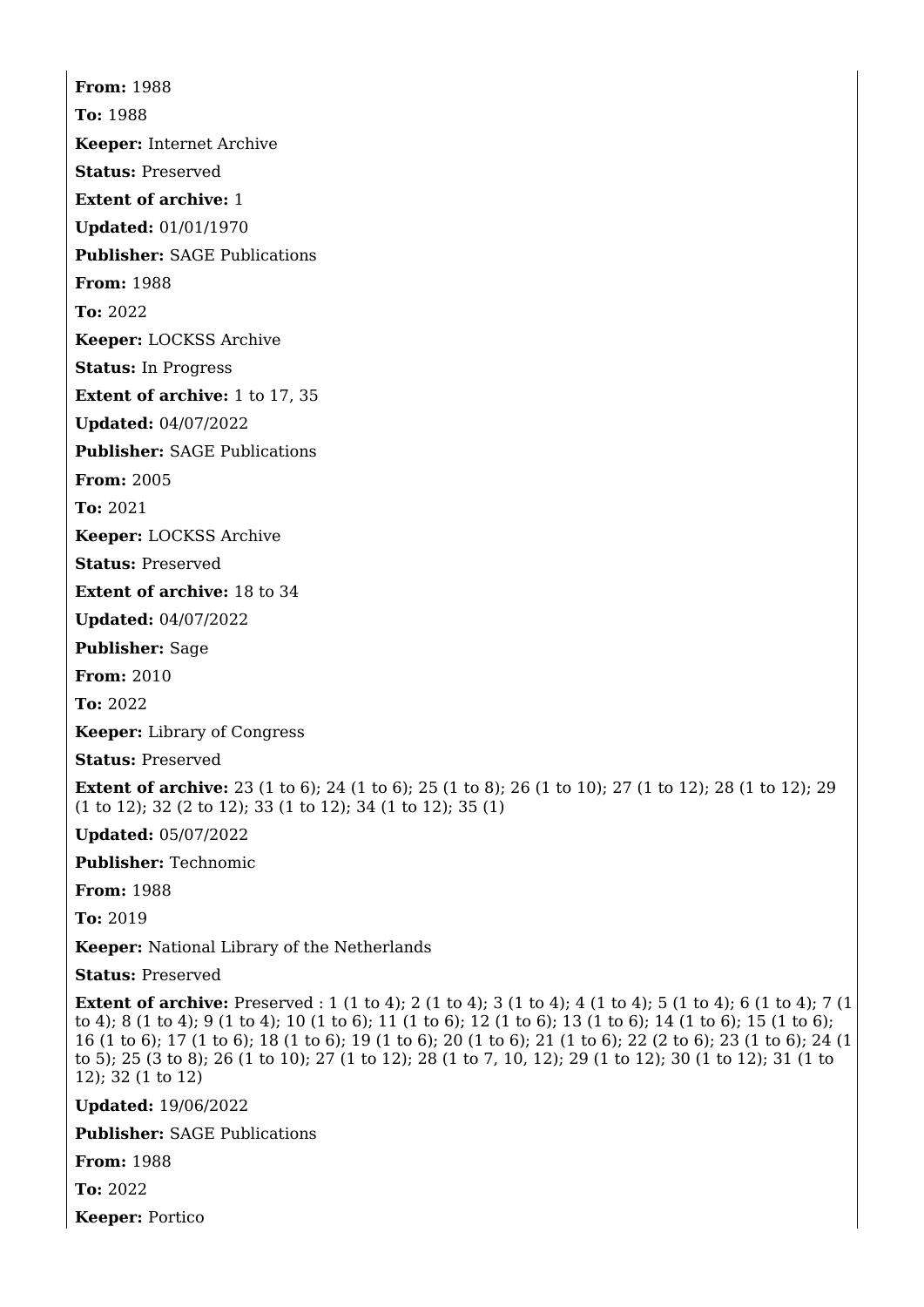**From:** 1988 **To:** 1988 **Keeper:** Internet Archive **Status:** Preserved **Extent of archive:** 1 **Updated:** 01/01/1970 **Publisher:** SAGE Publications **From:** 1988 **To:** 2022 **Keeper:** LOCKSS Archive **Status:** In Progress **Extent of archive:** 1 to 17, 35 **Updated:** 04/07/2022 **Publisher:** SAGE Publications **From:** 2005

**To:** 2021

**Keeper:** LOCKSS Archive

**Status:** Preserved

**Extent of archive:** 18 to 34

**Updated:** 04/07/2022

**Publisher:** Sage

**From:** 2010

**To:** 2022

**Keeper:** Library of Congress

**Status:** Preserved

**Extent of archive:** 23 (1 to 6); 24 (1 to 6); 25 (1 to 8); 26 (1 to 10); 27 (1 to 12); 28 (1 to 12); 29 (1 to 12); 32 (2 to 12); 33 (1 to 12); 34 (1 to 12); 35 (1)

**Updated:** 05/07/2022

**Publisher:** Technomic

**From:** 1988

**To:** 2019

**Keeper:** National Library of the Netherlands

**Status:** Preserved

**Extent of archive:** Preserved : 1 (1 to 4); 2 (1 to 4); 3 (1 to 4); 4 (1 to 4); 5 (1 to 4); 6 (1 to 4); 7 (1 to 4); 8 (1 to 4); 9 (1 to 4); 10 (1 to 6); 11 (1 to 6); 12 (1 to 6); 13 (1 to 6); 14 (1 to 6); 15 (1 to 6); 16 (1 to 6); 17 (1 to 6); 18 (1 to 6); 19 (1 to 6); 20 (1 to 6); 21 (1 to 6); 22 (2 to 6); 23 (1 to 6); 24 (1 to 5); 25 (3 to 8); 26 (1 to 10); 27 (1 to 12); 28 (1 to 7, 10, 12); 29 (1 to 12); 30 (1 to 12); 31 (1 to 12); 32 (1 to 12)

**Updated:** 19/06/2022

**Publisher:** SAGE Publications

**From:** 1988

**To:** 2022

**Keeper:** Portico